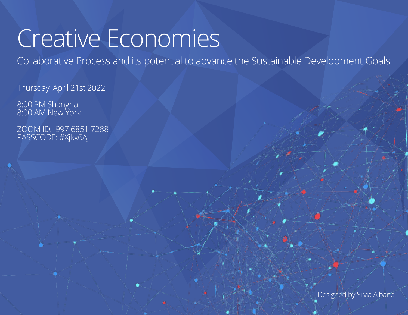# Creative Economies

Collaborative Process and its potential to advance the Sustainable Development Goals

Thursday, April 21st 2022

8:00 PM Shanghai 8:00 AM New York

ZOOM ID: 997 6851 7288 PASSCODE: #Xjkx6AJ

Designed by Silvia Albano